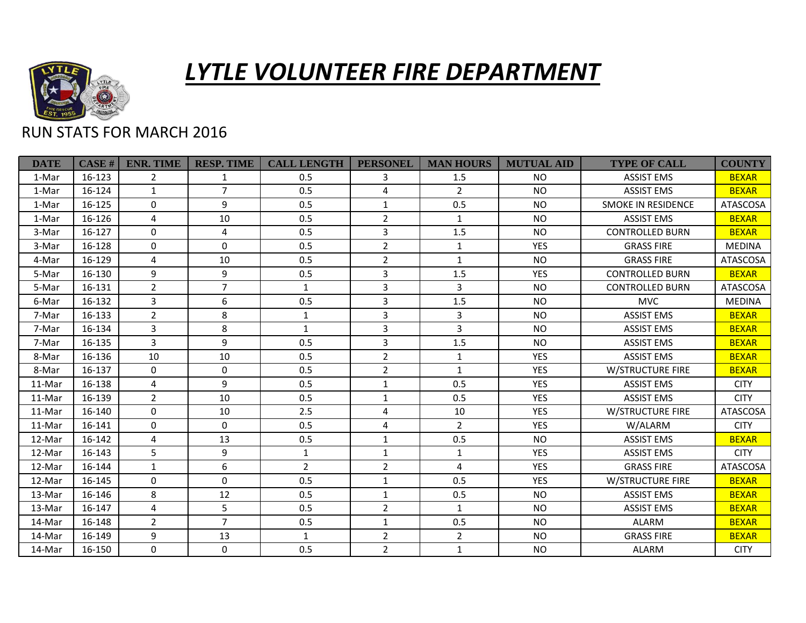

## *LYTLE VOLUNTEER FIRE DEPARTMENT*

## RUN STATS FOR MARCH 2016

| <b>DATE</b> | <b>CASE#</b> | <b>ENR. TIME</b> | <b>RESP. TIME</b> | <b>CALL LENGTH</b> | <b>PERSONEL</b> | <b>MAN HOURS</b> | <b>MUTUAL AID</b> | <b>TYPE OF CALL</b>       | <b>COUNTY</b>   |
|-------------|--------------|------------------|-------------------|--------------------|-----------------|------------------|-------------------|---------------------------|-----------------|
| 1-Mar       | 16-123       | $\overline{2}$   | 1                 | 0.5                | 3               | 1.5              | <b>NO</b>         | <b>ASSIST EMS</b>         | <b>BEXAR</b>    |
| 1-Mar       | 16-124       | $\mathbf{1}$     | $\overline{7}$    | 0.5                | 4               | $\overline{2}$   | <b>NO</b>         | <b>ASSIST EMS</b>         | <b>BEXAR</b>    |
| 1-Mar       | 16-125       | $\Omega$         | 9                 | 0.5                | $\mathbf{1}$    | 0.5              | <b>NO</b>         | <b>SMOKE IN RESIDENCE</b> | ATASCOSA        |
| 1-Mar       | 16-126       | 4                | 10                | 0.5                | $\overline{2}$  | $\mathbf{1}$     | <b>NO</b>         | <b>ASSIST EMS</b>         | <b>BEXAR</b>    |
| 3-Mar       | 16-127       | $\Omega$         | 4                 | 0.5                | 3               | 1.5              | <b>NO</b>         | <b>CONTROLLED BURN</b>    | <b>BEXAR</b>    |
| 3-Mar       | 16-128       | $\mathbf 0$      | $\mathbf 0$       | 0.5                | $\overline{2}$  | $\mathbf{1}$     | <b>YES</b>        | <b>GRASS FIRE</b>         | <b>MEDINA</b>   |
| 4-Mar       | 16-129       | 4                | 10                | 0.5                | $\overline{2}$  | $\mathbf{1}$     | <b>NO</b>         | <b>GRASS FIRE</b>         | <b>ATASCOSA</b> |
| 5-Mar       | 16-130       | 9                | $\boldsymbol{9}$  | 0.5                | 3               | 1.5              | <b>YES</b>        | <b>CONTROLLED BURN</b>    | <b>BEXAR</b>    |
| 5-Mar       | 16-131       | $\overline{2}$   | $\overline{7}$    | $\mathbf{1}$       | 3               | $\overline{3}$   | <b>NO</b>         | <b>CONTROLLED BURN</b>    | <b>ATASCOSA</b> |
| 6-Mar       | 16-132       | 3                | 6                 | 0.5                | 3               | 1.5              | <b>NO</b>         | <b>MVC</b>                | <b>MEDINA</b>   |
| 7-Mar       | 16-133       | $\overline{2}$   | 8                 | $\mathbf{1}$       | 3               | 3                | <b>NO</b>         | <b>ASSIST EMS</b>         | <b>BEXAR</b>    |
| 7-Mar       | 16-134       | 3                | 8                 | $\mathbf{1}$       | $\overline{3}$  | 3                | <b>NO</b>         | <b>ASSIST EMS</b>         | <b>BEXAR</b>    |
| 7-Mar       | 16-135       | 3                | 9                 | 0.5                | 3               | 1.5              | <b>NO</b>         | <b>ASSIST EMS</b>         | <b>BEXAR</b>    |
| 8-Mar       | 16-136       | 10               | 10                | 0.5                | $\overline{2}$  | $\mathbf{1}$     | <b>YES</b>        | <b>ASSIST EMS</b>         | <b>BEXAR</b>    |
| 8-Mar       | 16-137       | $\mathbf{0}$     | $\mathbf 0$       | 0.5                | $\overline{2}$  | $\mathbf{1}$     | <b>YES</b>        | <b>W/STRUCTURE FIRE</b>   | <b>BEXAR</b>    |
| 11-Mar      | 16-138       | 4                | 9                 | 0.5                | $\mathbf{1}$    | 0.5              | <b>YES</b>        | <b>ASSIST EMS</b>         | <b>CITY</b>     |
| 11-Mar      | 16-139       | $\overline{2}$   | 10                | 0.5                | $\mathbf 1$     | 0.5              | <b>YES</b>        | <b>ASSIST EMS</b>         | <b>CITY</b>     |
| 11-Mar      | 16-140       | $\Omega$         | 10                | 2.5                | 4               | 10               | <b>YES</b>        | <b>W/STRUCTURE FIRE</b>   | <b>ATASCOSA</b> |
| 11-Mar      | 16-141       | $\Omega$         | $\Omega$          | 0.5                | 4               | $\overline{2}$   | <b>YES</b>        | W/ALARM                   | <b>CITY</b>     |
| 12-Mar      | 16-142       | 4                | 13                | 0.5                | $\mathbf{1}$    | 0.5              | <b>NO</b>         | <b>ASSIST EMS</b>         | <b>BEXAR</b>    |
| 12-Mar      | 16-143       | 5                | 9                 | 1                  | $\mathbf{1}$    | 1                | <b>YES</b>        | <b>ASSIST EMS</b>         | <b>CITY</b>     |
| 12-Mar      | 16-144       | $\mathbf{1}$     | 6                 | $\overline{2}$     | $\overline{2}$  | 4                | <b>YES</b>        | <b>GRASS FIRE</b>         | ATASCOSA        |
| 12-Mar      | 16-145       | $\Omega$         | $\mathbf{0}$      | 0.5                | $\mathbf{1}$    | 0.5              | <b>YES</b>        | W/STRUCTURE FIRE          | <b>BEXAR</b>    |
| 13-Mar      | 16-146       | 8                | 12                | 0.5                | $\mathbf{1}$    | 0.5              | <b>NO</b>         | <b>ASSIST EMS</b>         | <b>BEXAR</b>    |
| 13-Mar      | 16-147       | 4                | 5                 | 0.5                | $\overline{2}$  | $\mathbf{1}$     | <b>NO</b>         | <b>ASSIST EMS</b>         | <b>BEXAR</b>    |
| 14-Mar      | 16-148       | $\overline{2}$   | $\overline{7}$    | 0.5                | $\mathbf 1$     | 0.5              | <b>NO</b>         | <b>ALARM</b>              | <b>BEXAR</b>    |
| 14-Mar      | 16-149       | 9                | 13                | $\mathbf{1}$       | $\overline{2}$  | $\overline{2}$   | <b>NO</b>         | <b>GRASS FIRE</b>         | <b>BEXAR</b>    |
| 14-Mar      | 16-150       | $\mathbf{0}$     | $\mathbf 0$       | 0.5                | $\overline{2}$  | $\mathbf{1}$     | <b>NO</b>         | <b>ALARM</b>              | <b>CITY</b>     |